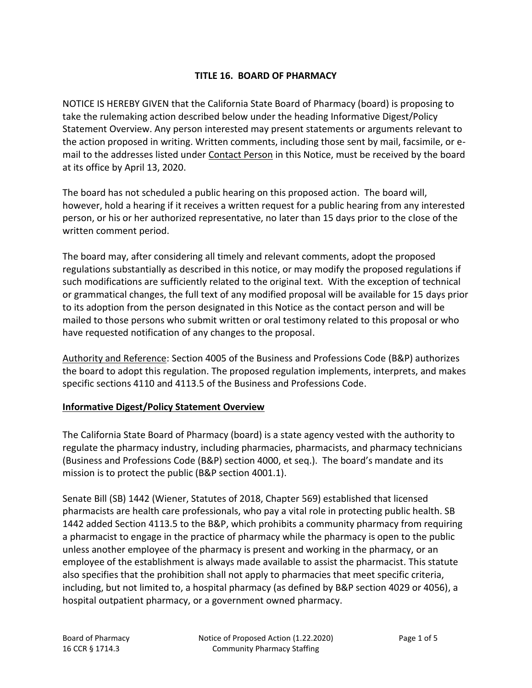## **TITLE 16. BOARD OF PHARMACY**

NOTICE IS HEREBY GIVEN that the California State Board of Pharmacy (board) is proposing to take the rulemaking action described below under the heading Informative Digest/Policy Statement Overview. Any person interested may present statements or arguments relevant to the action proposed in writing. Written comments, including those sent by mail, facsimile, or email to the addresses listed under Contact Person in this Notice, must be received by the board at its office by April 13, 2020.

The board has not scheduled a public hearing on this proposed action. The board will, however, hold a hearing if it receives a written request for a public hearing from any interested person, or his or her authorized representative, no later than 15 days prior to the close of the written comment period.

The board may, after considering all timely and relevant comments, adopt the proposed regulations substantially as described in this notice, or may modify the proposed regulations if such modifications are sufficiently related to the original text. With the exception of technical or grammatical changes, the full text of any modified proposal will be available for 15 days prior to its adoption from the person designated in this Notice as the contact person and will be mailed to those persons who submit written or oral testimony related to this proposal or who have requested notification of any changes to the proposal.

Authority and Reference: Section 4005 of the Business and Professions Code (B&P) authorizes the board to adopt this regulation. The proposed regulation implements, interprets, and makes specific sections 4110 and 4113.5 of the Business and Professions Code.

#### **Informative Digest/Policy Statement Overview**

The California State Board of Pharmacy (board) is a state agency vested with the authority to regulate the pharmacy industry, including pharmacies, pharmacists, and pharmacy technicians (Business and Professions Code (B&P) section 4000, et seq.). The board's mandate and its mission is to protect the public (B&P section 4001.1).

Senate Bill (SB) 1442 (Wiener, Statutes of 2018, Chapter 569) established that licensed pharmacists are health care professionals, who pay a vital role in protecting public health. SB 1442 added Section 4113.5 to the B&P, which prohibits a community pharmacy from requiring a pharmacist to engage in the practice of pharmacy while the pharmacy is open to the public unless another employee of the pharmacy is present and working in the pharmacy, or an employee of the establishment is always made available to assist the pharmacist. This statute also specifies that the prohibition shall not apply to pharmacies that meet specific criteria, including, but not limited to, a hospital pharmacy (as defined by B&P section 4029 or 4056), a hospital outpatient pharmacy, or a government owned pharmacy.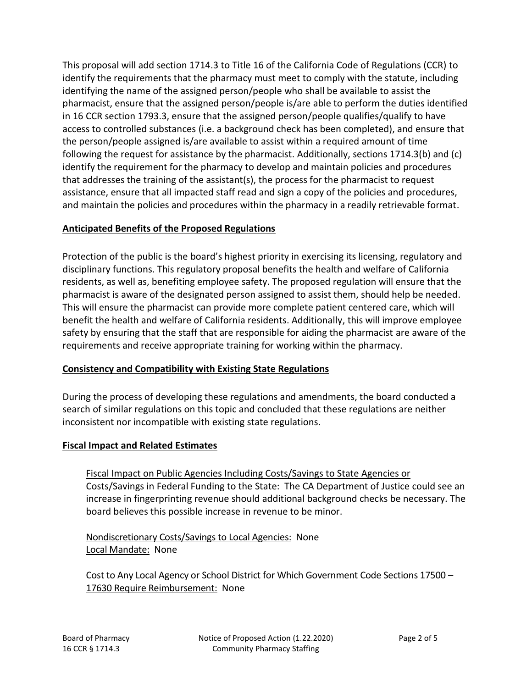This proposal will add section 1714.3 to Title 16 of the California Code of Regulations (CCR) to identify the requirements that the pharmacy must meet to comply with the statute, including identifying the name of the assigned person/people who shall be available to assist the pharmacist, ensure that the assigned person/people is/are able to perform the duties identified in 16 CCR section 1793.3, ensure that the assigned person/people qualifies/qualify to have access to controlled substances (i.e. a background check has been completed), and ensure that the person/people assigned is/are available to assist within a required amount of time following the request for assistance by the pharmacist. Additionally, sections 1714.3(b) and (c) identify the requirement for the pharmacy to develop and maintain policies and procedures that addresses the training of the assistant(s), the process for the pharmacist to request assistance, ensure that all impacted staff read and sign a copy of the policies and procedures, and maintain the policies and procedures within the pharmacy in a readily retrievable format.

# **Anticipated Benefits of the Proposed Regulations**

Protection of the public is the board's highest priority in exercising its licensing, regulatory and disciplinary functions. This regulatory proposal benefits the health and welfare of California residents, as well as, benefiting employee safety. The proposed regulation will ensure that the pharmacist is aware of the designated person assigned to assist them, should help be needed. This will ensure the pharmacist can provide more complete patient centered care, which will benefit the health and welfare of California residents. Additionally, this will improve employee safety by ensuring that the staff that are responsible for aiding the pharmacist are aware of the requirements and receive appropriate training for working within the pharmacy.

# **Consistency and Compatibility with Existing State Regulations**

During the process of developing these regulations and amendments, the board conducted a search of similar regulations on this topic and concluded that these regulations are neither inconsistent nor incompatible with existing state regulations.

## **Fiscal Impact and Related Estimates**

Fiscal Impact on Public Agencies Including Costs/Savings to State Agencies or Costs/Savings in Federal Funding to the State: The CA Department of Justice could see an increase in fingerprinting revenue should additional background checks be necessary. The board believes this possible increase in revenue to be minor.

Nondiscretionary Costs/Savings to Local Agencies: None Local Mandate: None

Cost to Any Local Agency or School District for Which Government Code Sections 17500 – 17630 Require Reimbursement: None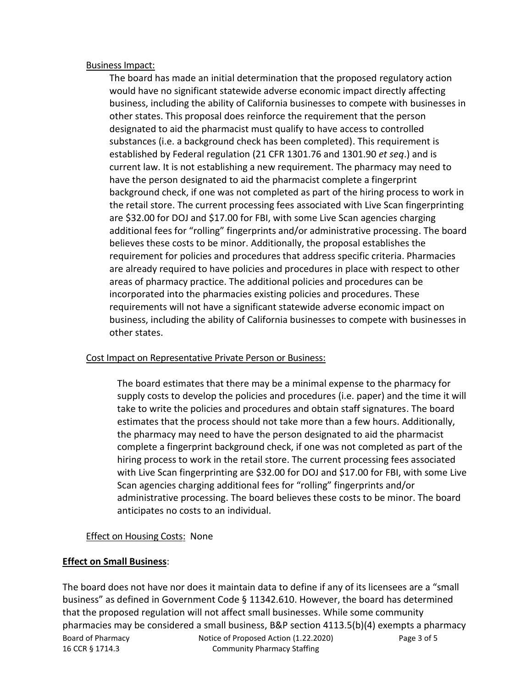#### Business Impact:

The board has made an initial determination that the proposed regulatory action would have no significant statewide adverse economic impact directly affecting business, including the ability of California businesses to compete with businesses in other states. This proposal does reinforce the requirement that the person designated to aid the pharmacist must qualify to have access to controlled substances (i.e. a background check has been completed). This requirement is established by Federal regulation (21 CFR 1301.76 and 1301.90 *et seq*.) and is current law. It is not establishing a new requirement. The pharmacy may need to have the person designated to aid the pharmacist complete a fingerprint background check, if one was not completed as part of the hiring process to work in the retail store. The current processing fees associated with Live Scan fingerprinting are \$32.00 for DOJ and \$17.00 for FBI, with some Live Scan agencies charging additional fees for "rolling" fingerprints and/or administrative processing. The board believes these costs to be minor. Additionally, the proposal establishes the requirement for policies and procedures that address specific criteria. Pharmacies are already required to have policies and procedures in place with respect to other areas of pharmacy practice. The additional policies and procedures can be incorporated into the pharmacies existing policies and procedures. These requirements will not have a significant statewide adverse economic impact on business, including the ability of California businesses to compete with businesses in other states.

## Cost Impact on Representative Private Person or Business:

The board estimates that there may be a minimal expense to the pharmacy for supply costs to develop the policies and procedures (i.e. paper) and the time it will take to write the policies and procedures and obtain staff signatures. The board estimates that the process should not take more than a few hours. Additionally, the pharmacy may need to have the person designated to aid the pharmacist complete a fingerprint background check, if one was not completed as part of the hiring process to work in the retail store. The current processing fees associated with Live Scan fingerprinting are \$32.00 for DOJ and \$17.00 for FBI, with some Live Scan agencies charging additional fees for "rolling" fingerprints and/or administrative processing. The board believes these costs to be minor. The board anticipates no costs to an individual.

## **Effect on Housing Costs: None**

## **Effect on Small Business**:

Board of Pharmacy Notice of Proposed Action (1.22.2020) Page 3 of 5 16 CCR § 1714.3 Community Pharmacy Staffing The board does not have nor does it maintain data to define if any of its licensees are a "small business" as defined in Government Code § 11342.610. However, the board has determined that the proposed regulation will not affect small businesses. While some community pharmacies may be considered a small business, B&P section 4113.5(b)(4) exempts a pharmacy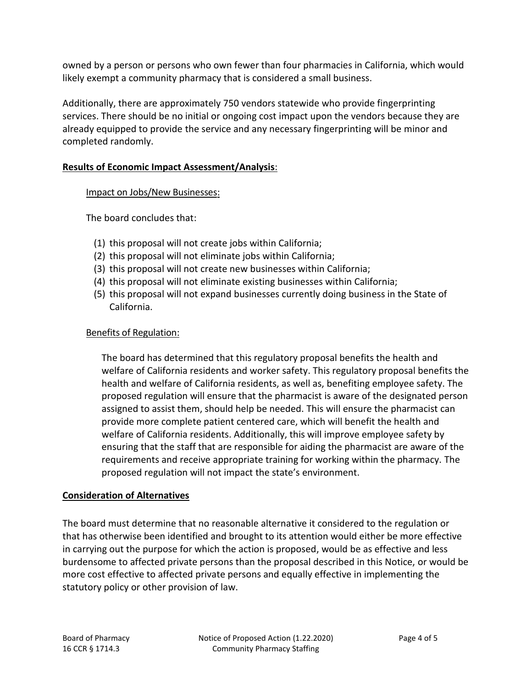owned by a person or persons who own fewer than four pharmacies in California, which would likely exempt a community pharmacy that is considered a small business.

Additionally, there are approximately 750 vendors statewide who provide fingerprinting services. There should be no initial or ongoing cost impact upon the vendors because they are already equipped to provide the service and any necessary fingerprinting will be minor and completed randomly.

## **Results of Economic Impact Assessment/Analysis**:

#### Impact on Jobs/New Businesses:

The board concludes that:

- (1) this proposal will not create jobs within California;
- (2) this proposal will not eliminate jobs within California;
- (3) this proposal will not create new businesses within California;
- (4) this proposal will not eliminate existing businesses within California;
- (5) this proposal will not expand businesses currently doing business in the State of California.

## Benefits of Regulation:

The board has determined that this regulatory proposal benefits the health and welfare of California residents and worker safety. This regulatory proposal benefits the health and welfare of California residents, as well as, benefiting employee safety. The proposed regulation will ensure that the pharmacist is aware of the designated person assigned to assist them, should help be needed. This will ensure the pharmacist can provide more complete patient centered care, which will benefit the health and welfare of California residents. Additionally, this will improve employee safety by ensuring that the staff that are responsible for aiding the pharmacist are aware of the requirements and receive appropriate training for working within the pharmacy. The proposed regulation will not impact the state's environment.

## **Consideration of Alternatives**

The board must determine that no reasonable alternative it considered to the regulation or that has otherwise been identified and brought to its attention would either be more effective in carrying out the purpose for which the action is proposed, would be as effective and less burdensome to affected private persons than the proposal described in this Notice, or would be more cost effective to affected private persons and equally effective in implementing the statutory policy or other provision of law.